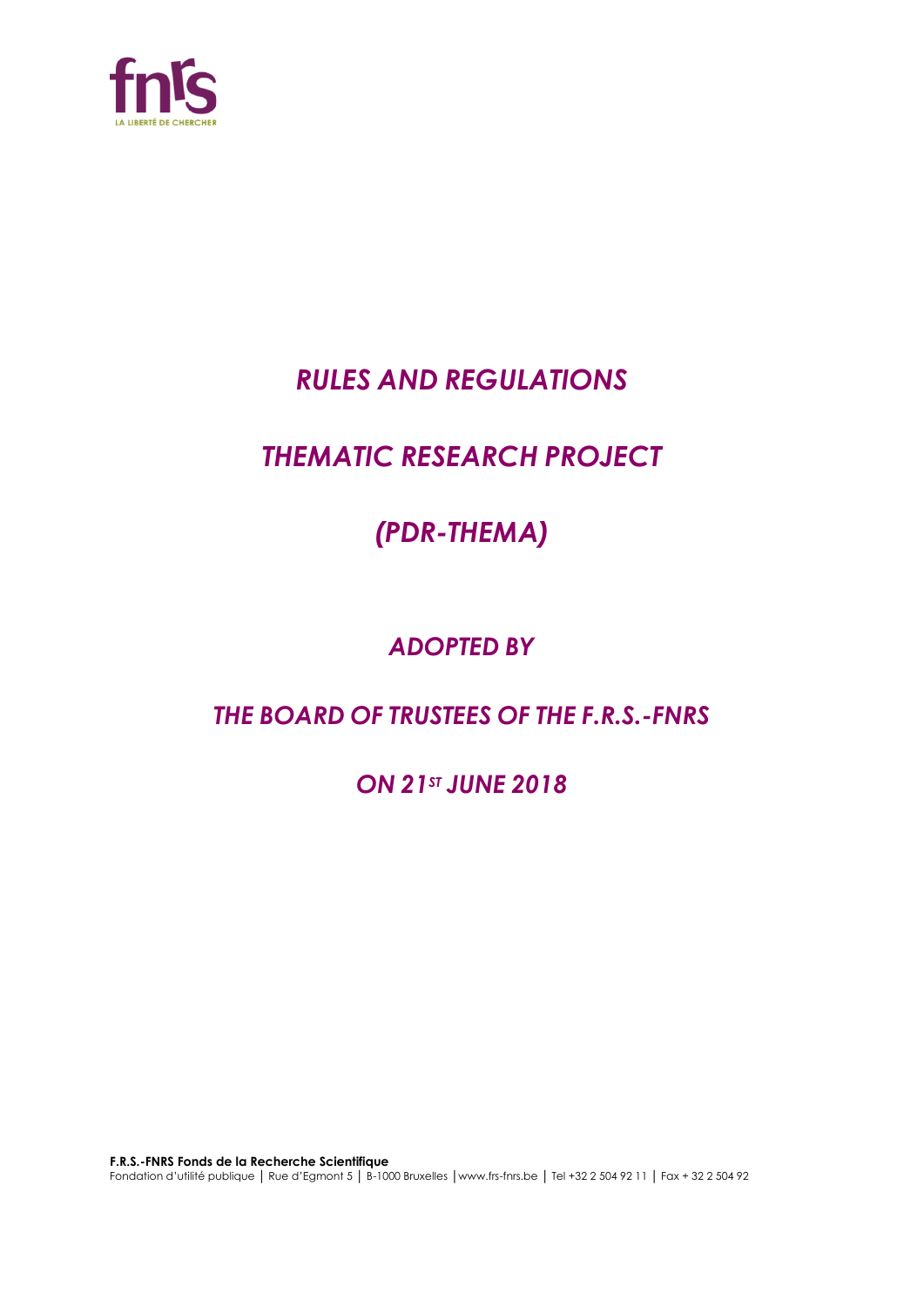

# *RULES AND REGULATIONS*

# *THEMATIC RESEARCH PROJECT*

# *(PDR-THEMA)*

# *ADOPTED BY*

# *THE BOARD OF TRUSTEES OF THE F.R.S.-FNRS*

*ON 21ST JUNE 2018*

**F.R.S.-FNRS Fonds de la Recherche Scientifique** Fondation d'utilité publique │ Rue d'Egmont 5 │ B-1000 Bruxelles │www.frs-fnrs.be │ Tel +32 2 504 92 11 │ Fax + 32 2 504 92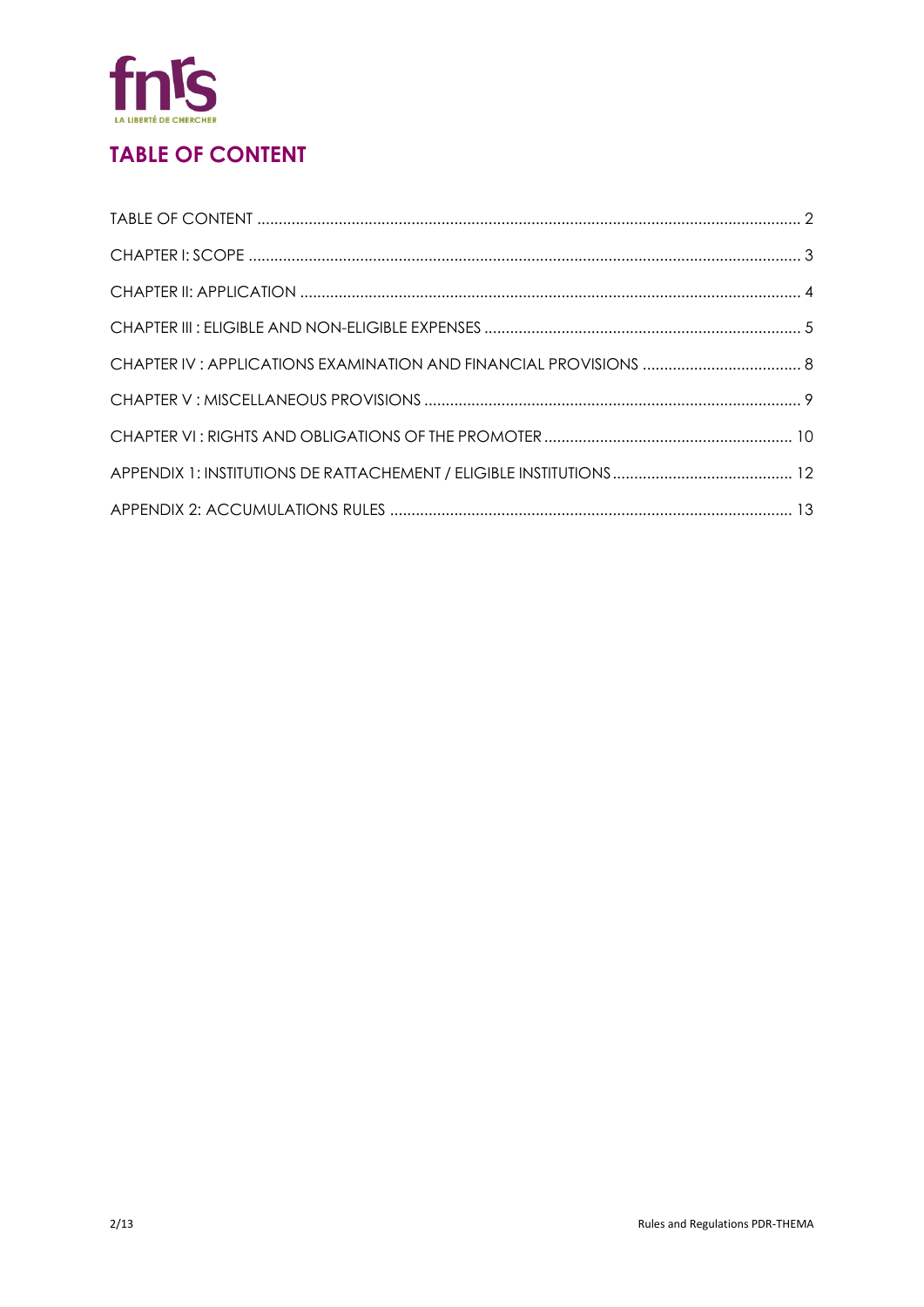

# **TABLE OF CONTENT**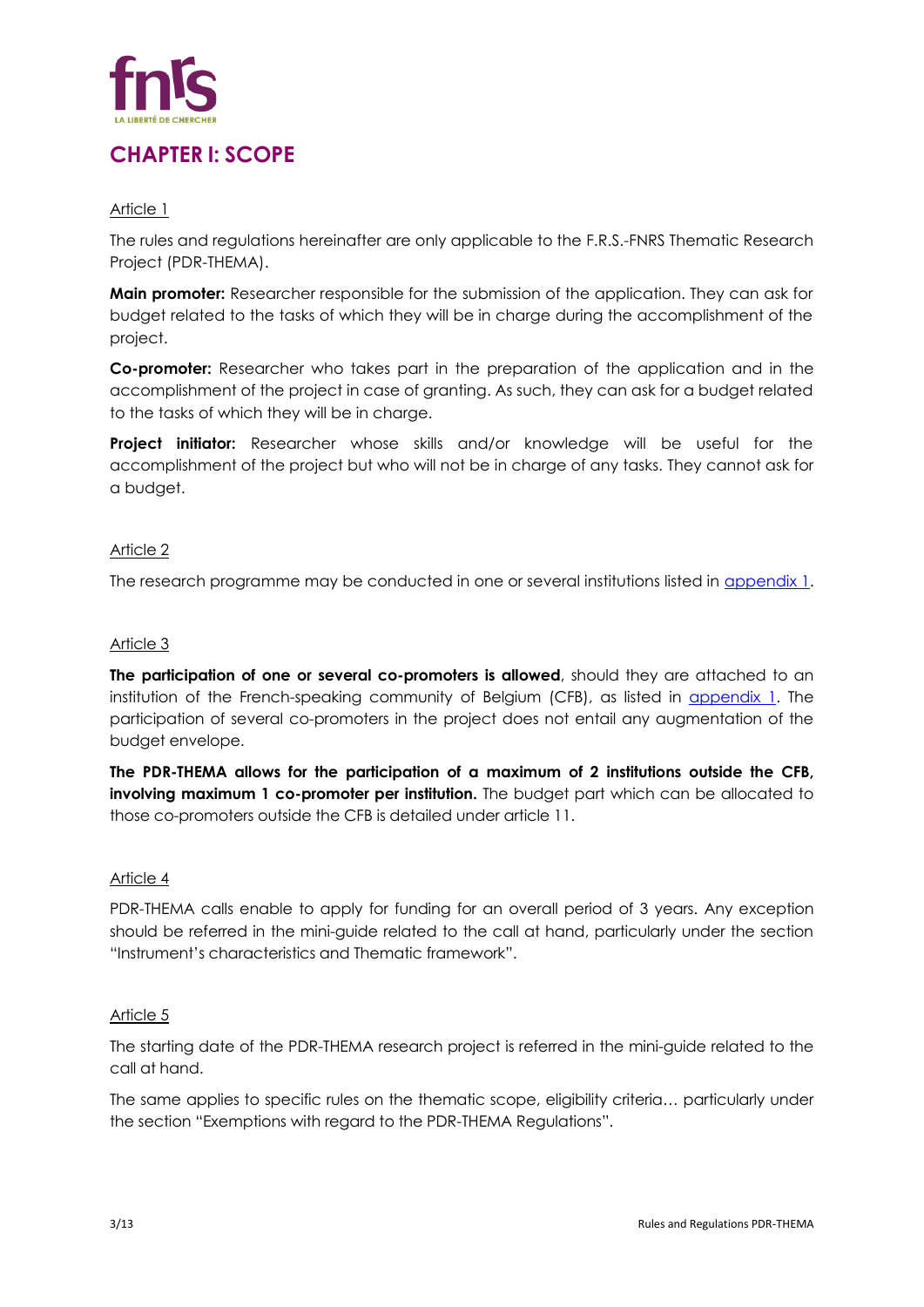

# **CHAPTER I: SCOPE**

# Article 1

The rules and regulations hereinafter are only applicable to the F.R.S.-FNRS Thematic Research Project (PDR-THEMA).

**Main promoter:** Researcher responsible for the submission of the application. They can ask for budget related to the tasks of which they will be in charge during the accomplishment of the project.

**Co-promoter:** Researcher who takes part in the preparation of the application and in the accomplishment of the project in case of granting. As such, they can ask for a budget related to the tasks of which they will be in charge.

**Project initiator:** Researcher whose skills and/or knowledge will be useful for the accomplishment of the project but who will not be in charge of any tasks. They cannot ask for a budget.

## Article 2

The research programme may be conducted in one or several institutions listed in [appendix 1.](#page-10-0)

## Article 3

**The participation of one or several co-promoters is allowed**, should they are attached to an institution of the French-speaking community of Belgium (CFB), as listed in *appendix 1*. The participation of several co-promoters in the project does not entail any augmentation of the budget envelope.

**The PDR-THEMA allows for the participation of a maximum of 2 institutions outside the CFB, involving maximum 1 co-promoter per institution.** The budget part which can be allocated to those co-promoters outside the CFB is detailed under article 11.

#### Article 4

PDR-THEMA calls enable to apply for funding for an overall period of 3 years. Any exception should be referred in the mini-guide related to the call at hand, particularly under the section "Instrument's characteristics and Thematic framework".

#### Article 5

The starting date of the PDR-THEMA research project is referred in the mini-guide related to the call at hand.

The same applies to specific rules on the thematic scope, eligibility criteria… particularly under the section "Exemptions with regard to the PDR-THEMA Regulations".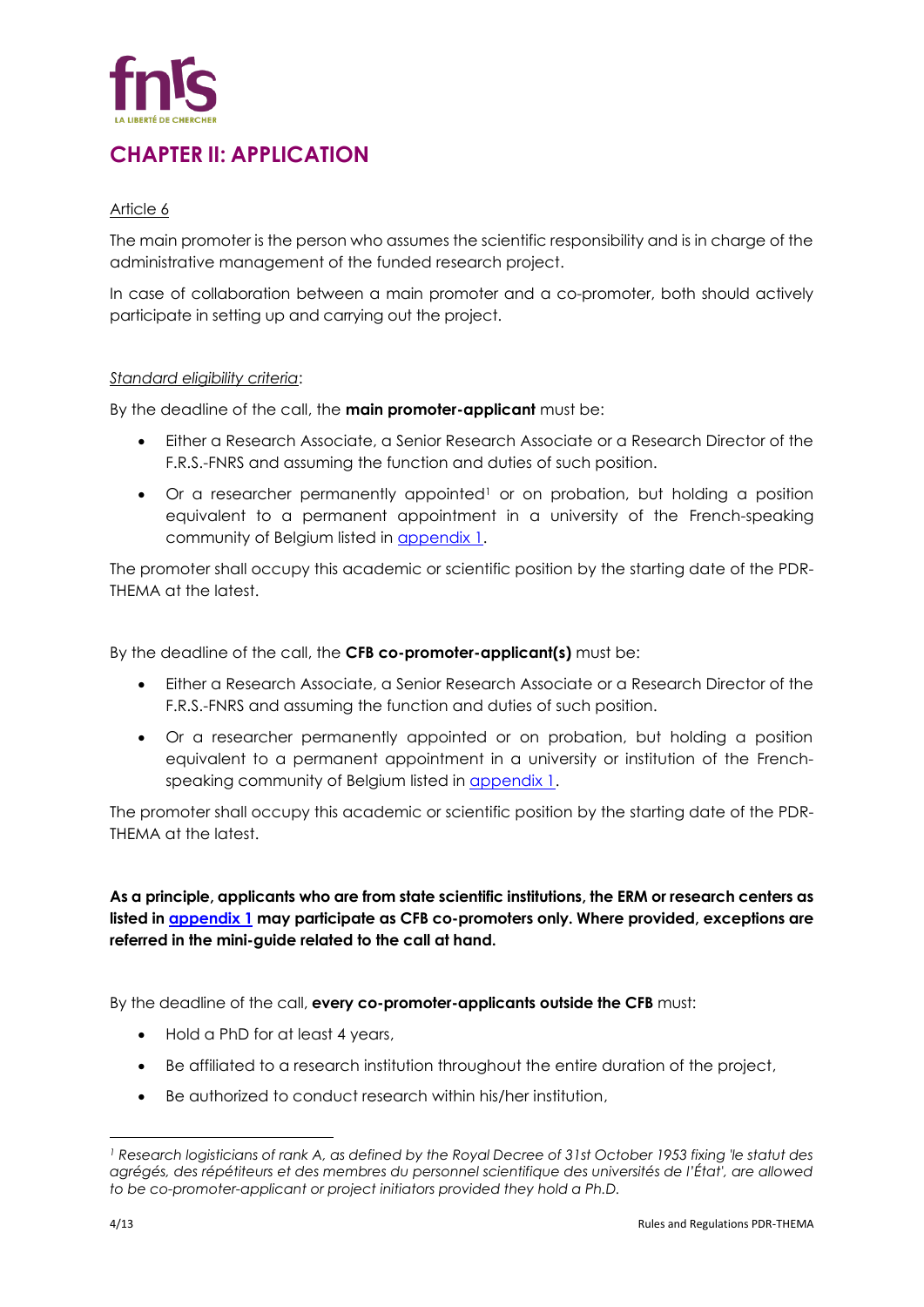

# **CHAPTER II: APPLICATION**

## Article 6

The main promoter is the person who assumes the scientific responsibility and is in charge of the administrative management of the funded research project.

In case of collaboration between a main promoter and a co-promoter, both should actively participate in setting up and carrying out the project.

#### *Standard eligibility criteria*:

By the deadline of the call, the **main promoter-applicant** must be:

- Either a Research Associate, a Senior Research Associate or a Research Director of the F.R.S.-FNRS and assuming the function and duties of such position.
- Or a researcher permanently appointed<sup>1</sup> or on probation, but holding a position equivalent to a permanent appointment in a university of the French-speaking community of Belgium listed in [appendix 1.](#page-10-0)

The promoter shall occupy this academic or scientific position by the starting date of the PDR-THEMA at the latest.

By the deadline of the call, the **CFB co-promoter-applicant(s)** must be:

- Either a Research Associate, a Senior Research Associate or a Research Director of the F.R.S.-FNRS and assuming the function and duties of such position.
- Or a researcher permanently appointed or on probation, but holding a position equivalent to a permanent appointment in a university or institution of the Frenchspeaking community of Belgium listed in **appendix 1**.

The promoter shall occupy this academic or scientific position by the starting date of the PDR-THEMA at the latest.

**As a principle, applicants who are from state scientific institutions, the ERM or research centers as listed in [appendix 1](#page-10-0) may participate as CFB co-promoters only. Where provided, exceptions are referred in the mini-guide related to the call at hand.** 

By the deadline of the call, **every co-promoter-applicants outside the CFB** must:

- Hold a PhD for at least 4 years,
- Be affiliated to a research institution throughout the entire duration of the project,
- Be authorized to conduct research within his/her institution,

*<sup>1</sup> Research logisticians of rank A, as defined by the Royal Decree of 31st October 1953 fixing 'le statut des agrégés, des répétiteurs et des membres du personnel scientifique des universités de l'État', are allowed to be co-promoter-applicant or project initiators provided they hold a Ph.D.*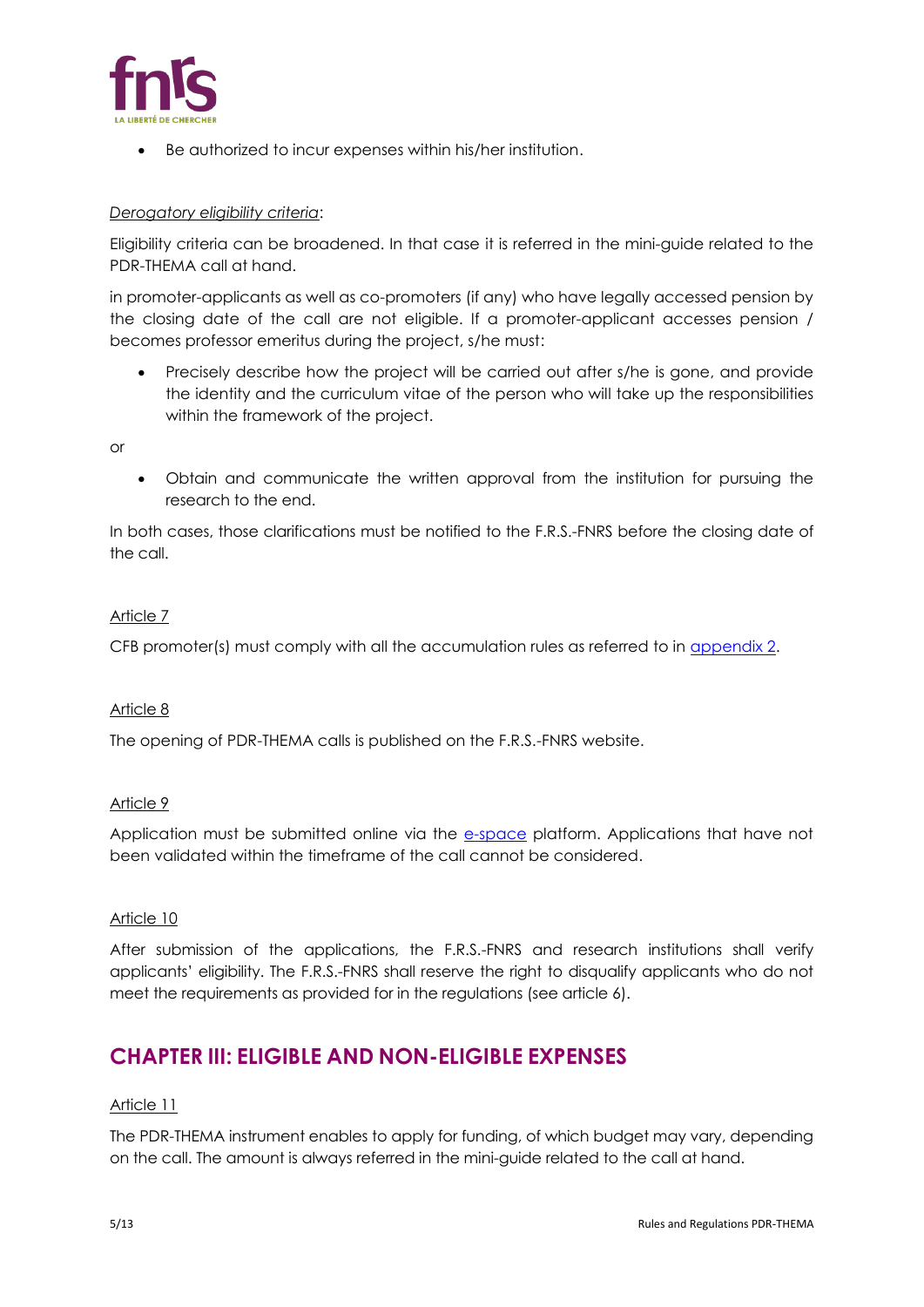

• Be authorized to incur expenses within his/her institution.

# *Derogatory eligibility criteria*:

Eligibility criteria can be broadened. In that case it is referred in the mini-guide related to the PDR-THEMA call at hand.

in promoter-applicants as well as co-promoters (if any) who have legally accessed pension by the closing date of the call are not eligible. If a promoter-applicant accesses pension / becomes professor emeritus during the project, s/he must:

• Precisely describe how the project will be carried out after s/he is gone, and provide the identity and the curriculum vitae of the person who will take up the responsibilities within the framework of the project.

or

• Obtain and communicate the written approval from the institution for pursuing the research to the end.

In both cases, those clarifications must be notified to the F.R.S.-FNRS before the closing date of the call.

# Article 7

CFB promoter(s) must comply with all the accumulation rules as referred to in [appendix 2.](#page-12-0)

#### Article 8

The opening of PDR-THEMA calls is published on the F.R.S.-FNRS website.

# Article 9

Application must be submitted online via the [e-space](https://e-space.frs-fnrs.be/) platform. Applications that have not been validated within the timeframe of the call cannot be considered.

#### Article 10

After submission of the applications, the F.R.S.-FNRS and research institutions shall verify applicants' eligibility. The F.R.S.-FNRS shall reserve the right to disqualify applicants who do not meet the requirements as provided for in the regulations (see article 6).

# **CHAPTER III: ELIGIBLE AND NON-ELIGIBLE EXPENSES**

#### Article 11

The PDR-THEMA instrument enables to apply for funding, of which budget may vary, depending on the call. The amount is always referred in the mini-guide related to the call at hand.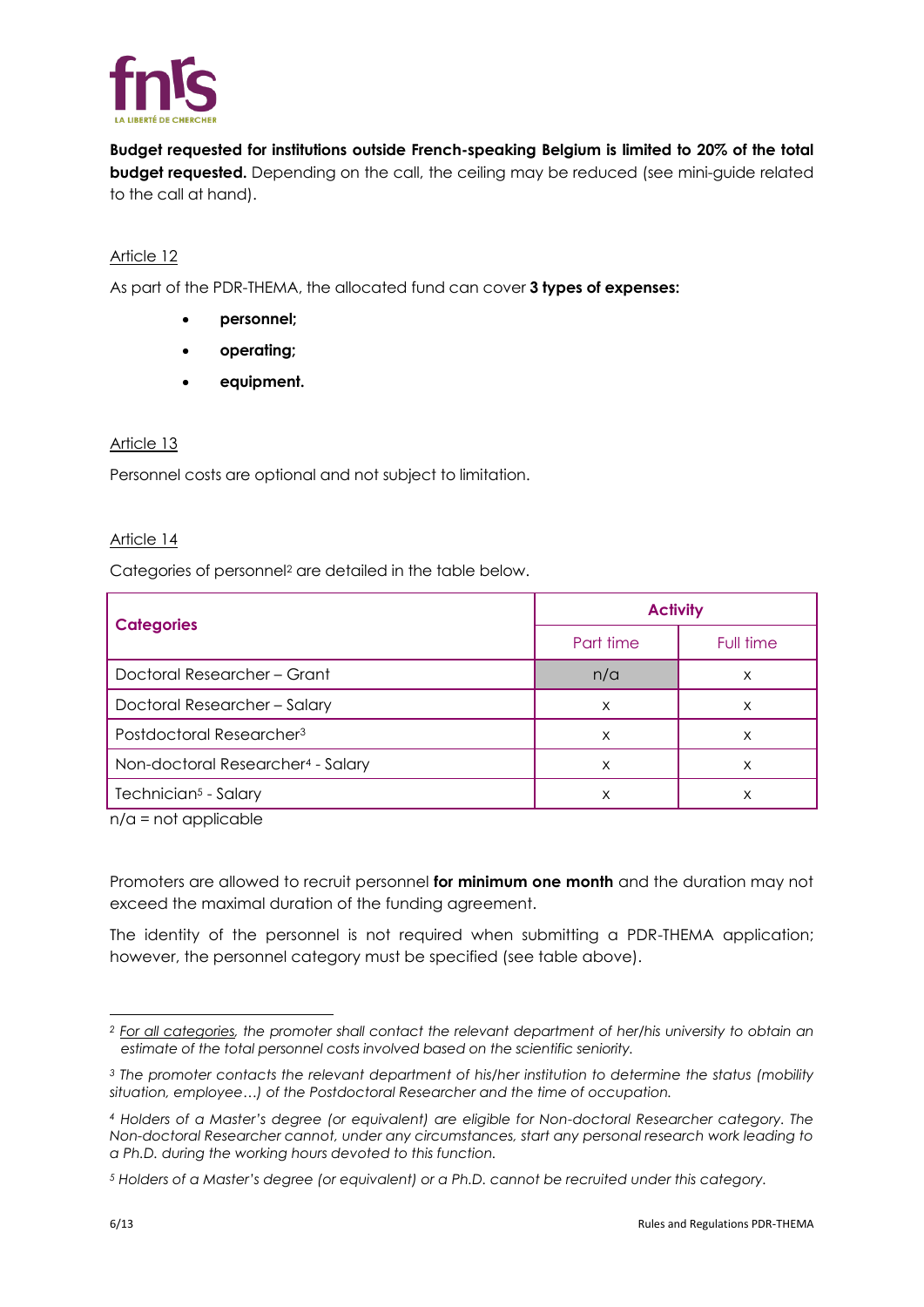

**Budget requested for institutions outside French-speaking Belgium is limited to 20% of the total budget requested.** Depending on the call, the ceiling may be reduced (see mini-guide related to the call at hand).

# Article 12

As part of the PDR-THEMA, the allocated fund can cover **3 types of expenses:**

- **personnel;**
- **operating;**
- **equipment.**

# Article 13

Personnel costs are optional and not subject to limitation.

# Article 14

Categories of personnel<sup>2</sup> are detailed in the table below.

|                                               | <b>Activity</b> |           |
|-----------------------------------------------|-----------------|-----------|
| <b>Categories</b>                             | Part time       | Full time |
| Doctoral Researcher - Grant                   | n/a             | х         |
| Doctoral Researcher - Salary                  | X               | х         |
| Postdoctoral Researcher <sup>3</sup>          | X               | X         |
| Non-doctoral Researcher <sup>4</sup> - Salary | X               | X         |
| Technician <sup>5</sup> - Salary              | X               | х         |

n/a = not applicable

Promoters are allowed to recruit personnel **for minimum one month** and the duration may not exceed the maximal duration of the funding agreement.

The identity of the personnel is not required when submitting a PDR-THEMA application; however, the personnel category must be specified (see table above).

*<sup>2</sup> For all categories, the promoter shall contact the relevant department of her/his university to obtain an estimate of the total personnel costs involved based on the scientific seniority.*

*<sup>3</sup> The promoter contacts the relevant department of his/her institution to determine the status (mobility situation, employee…) of the Postdoctoral Researcher and the time of occupation.*

*<sup>4</sup> Holders of a Master's degree (or equivalent) are eligible for Non-doctoral Researcher category. The Non-doctoral Researcher cannot, under any circumstances, start any personal research work leading to a Ph.D. during the working hours devoted to this function.*

*<sup>5</sup> Holders of a Master's degree (or equivalent) or a Ph.D. cannot be recruited under this category.*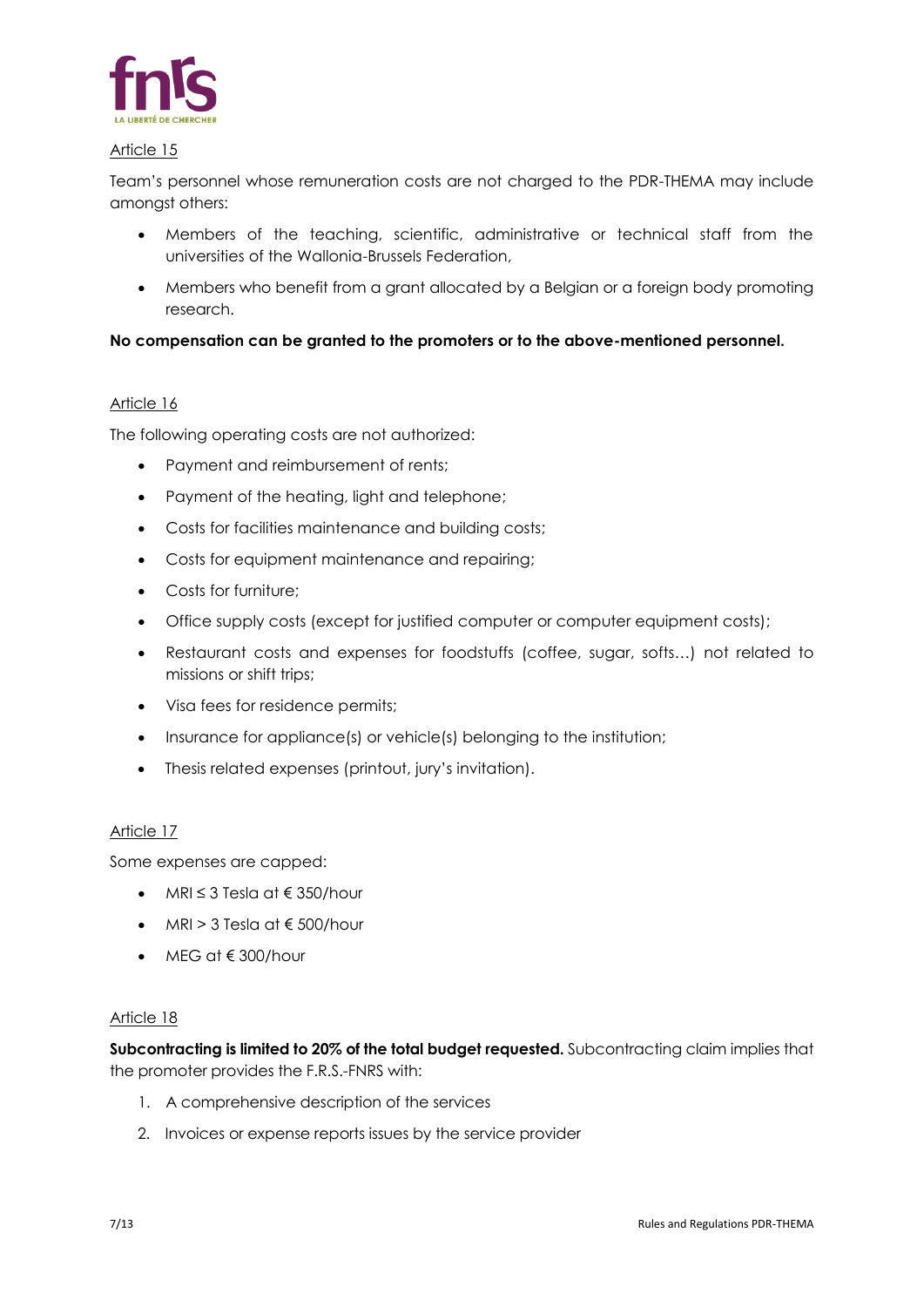

Team's personnel whose remuneration costs are not charged to the PDR-THEMA may include amongst others:

- Members of the teaching, scientific, administrative or technical staff from the universities of the Wallonia-Brussels Federation,
- Members who benefit from a grant allocated by a Belgian or a foreign body promoting research.

# **No compensation can be granted to the promoters or to the above-mentioned personnel.**

## Article 16

The following operating costs are not authorized:

- Payment and reimbursement of rents;
- Payment of the heating, light and telephone;
- Costs for facilities maintenance and building costs;
- Costs for equipment maintenance and repairing;
- Costs for furniture:
- Office supply costs (except for justified computer or computer equipment costs);
- Restaurant costs and expenses for foodstuffs (coffee, sugar, softs…) not related to missions or shift trips;
- Visa fees for residence permits;
- Insurance for appliance(s) or vehicle(s) belonging to the institution;
- Thesis related expenses (printout, jury's invitation).

#### Article 17

Some expenses are capped:

- MRI  $\leq$  3 Tesla at  $\in$  350/hour
- MRI > 3 Tesla at  $\epsilon$  500/hour
- MEG at € 300/hour

#### Article 18

**Subcontracting is limited to 20% of the total budget requested.** Subcontracting claim implies that the promoter provides the F.R.S.-FNRS with:

- 1. A comprehensive description of the services
- 2. Invoices or expense reports issues by the service provider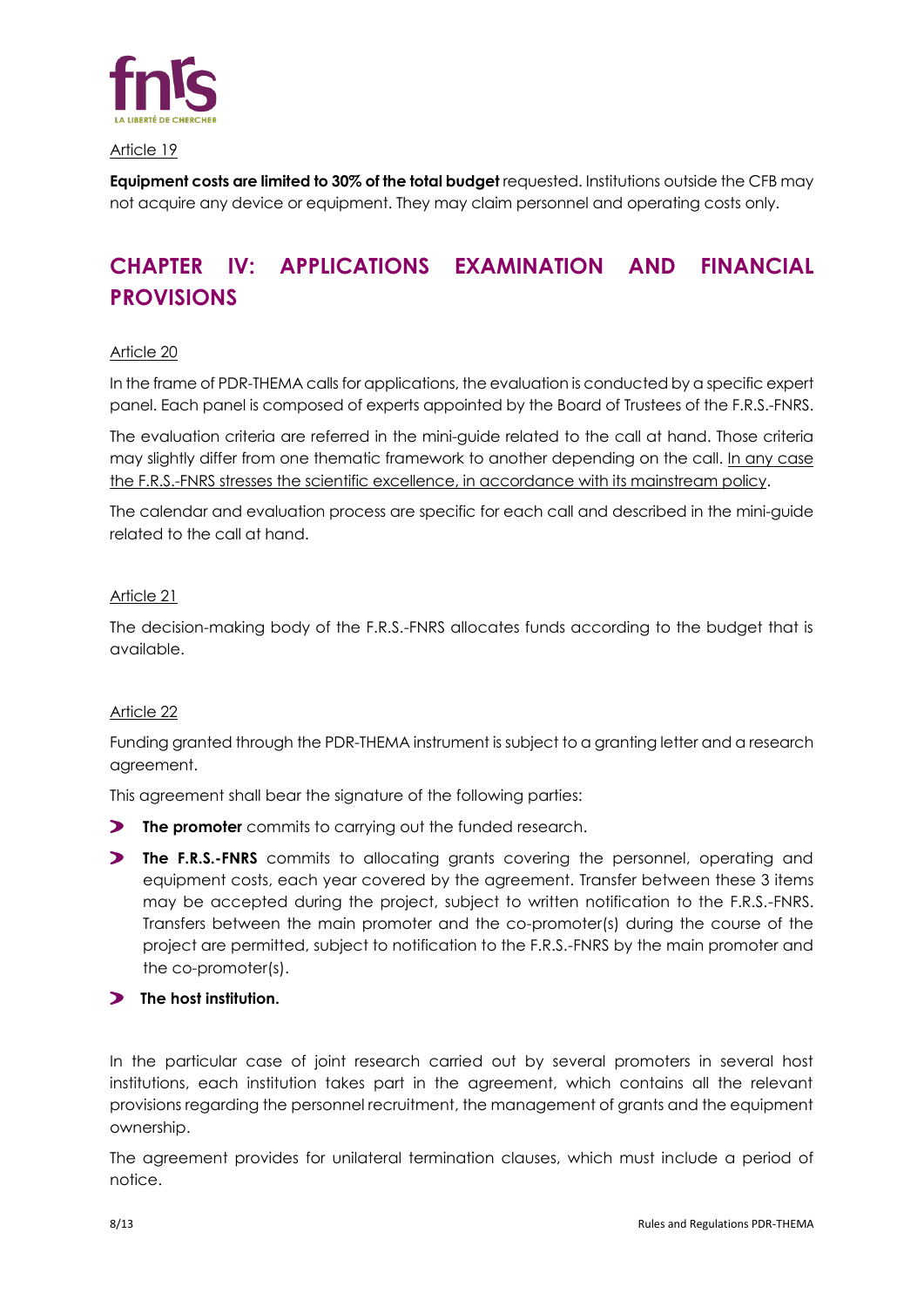

**Equipment costs are limited to 30% of the total budget** requested. Institutions outside the CFB may not acquire any device or equipment. They may claim personnel and operating costs only.

# **CHAPTER IV: APPLICATIONS EXAMINATION AND FINANCIAL PROVISIONS**

#### Article 20

In the frame of PDR-THEMA calls for applications, the evaluation is conducted by a specific expert panel. Each panel is composed of experts appointed by the Board of Trustees of the F.R.S.-FNRS.

The evaluation criteria are referred in the mini-guide related to the call at hand. Those criteria may slightly differ from one thematic framework to another depending on the call. In any case the F.R.S.-FNRS stresses the scientific excellence, in accordance with its mainstream policy.

The calendar and evaluation process are specific for each call and described in the mini-guide related to the call at hand.

## Article 21

The decision-making body of the F.R.S.-FNRS allocates funds according to the budget that is available.

#### Article 22

Funding granted through the PDR-THEMA instrument is subject to a granting letter and a research agreement.

This agreement shall bear the signature of the following parties:

- **The promoter** commits to carrying out the funded research.
- **The F.R.S.-FNRS** commits to allocating grants covering the personnel, operating and equipment costs, each year covered by the agreement. Transfer between these 3 items may be accepted during the project, subject to written notification to the F.R.S.-FNRS. Transfers between the main promoter and the co-promoter(s) during the course of the project are permitted, subject to notification to the F.R.S.-FNRS by the main promoter and the co-promoter(s).

# **The host institution.**

In the particular case of joint research carried out by several promoters in several host institutions, each institution takes part in the agreement, which contains all the relevant provisions regarding the personnel recruitment, the management of grants and the equipment ownership.

The agreement provides for unilateral termination clauses, which must include a period of notice.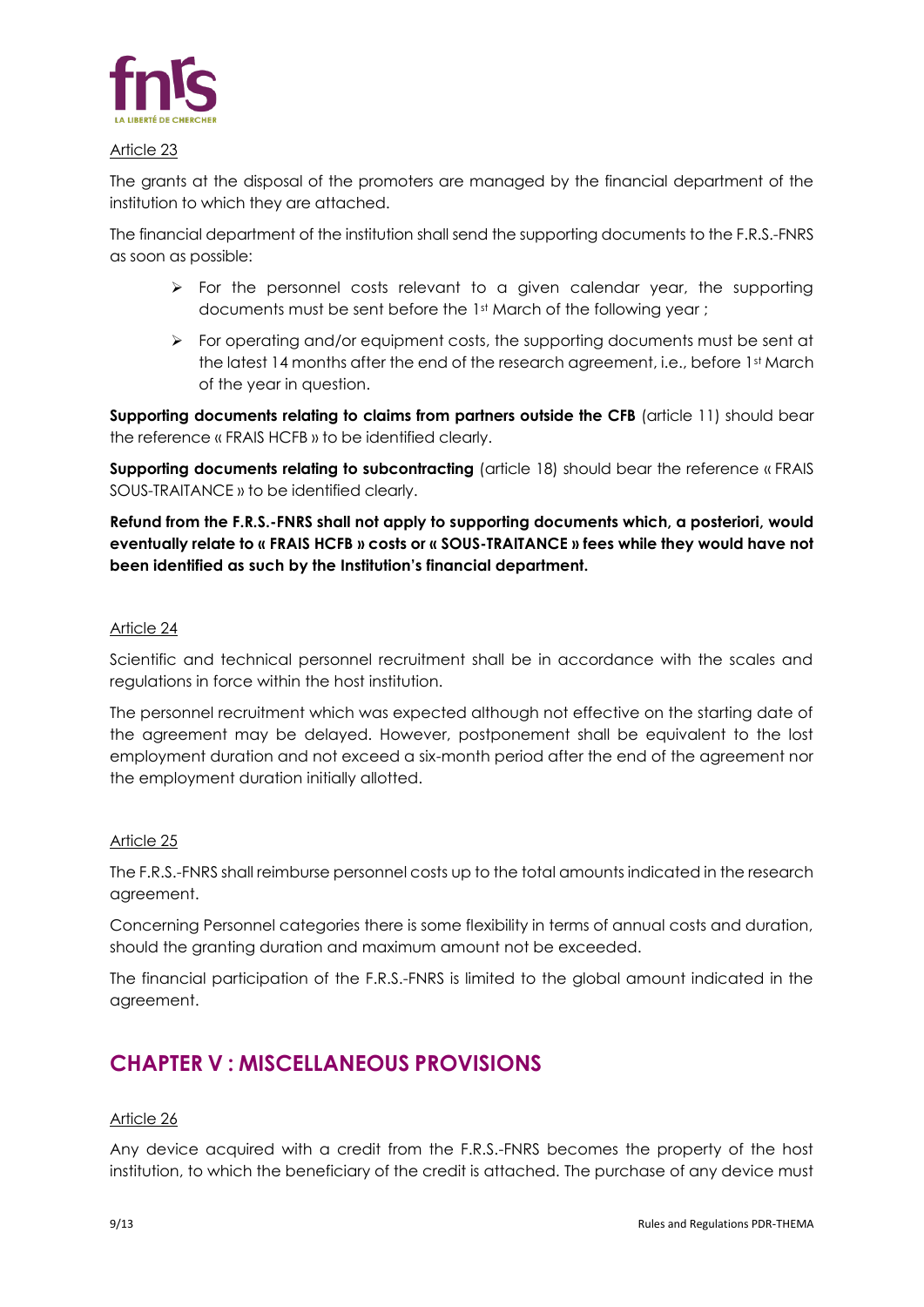

The grants at the disposal of the promoters are managed by the financial department of the institution to which they are attached.

The financial department of the institution shall send the supporting documents to the F.R.S.-FNRS as soon as possible:

- $\triangleright$  For the personnel costs relevant to a given calendar year, the supporting documents must be sent before the 1st March of the following year;
- ➢ For operating and/or equipment costs, the supporting documents must be sent at the latest 14 months after the end of the research agreement, i.e., before 1st March of the year in question.

**Supporting documents relating to claims from partners outside the CFB** (article 11) should bear the reference « FRAIS HCFB » to be identified clearly.

**Supporting documents relating to subcontracting** (article 18) should bear the reference « FRAIS SOUS-TRAITANCE » to be identified clearly.

**Refund from the F.R.S.-FNRS shall not apply to supporting documents which, a posteriori, would eventually relate to « FRAIS HCFB » costs or « SOUS-TRAITANCE » fees while they would have not been identified as such by the Institution's financial department.**

## Article 24

Scientific and technical personnel recruitment shall be in accordance with the scales and regulations in force within the host institution.

The personnel recruitment which was expected although not effective on the starting date of the agreement may be delayed. However, postponement shall be equivalent to the lost employment duration and not exceed a six-month period after the end of the agreement nor the employment duration initially allotted.

# Article 25

The F.R.S.-FNRS shall reimburse personnel costs up to the total amounts indicated in the research agreement.

Concerning Personnel categories there is some flexibility in terms of annual costs and duration, should the granting duration and maximum amount not be exceeded.

The financial participation of the F.R.S.-FNRS is limited to the global amount indicated in the agreement.

# **CHAPTER V : MISCELLANEOUS PROVISIONS**

#### Article 26

Any device acquired with a credit from the F.R.S.-FNRS becomes the property of the host institution, to which the beneficiary of the credit is attached. The purchase of any device must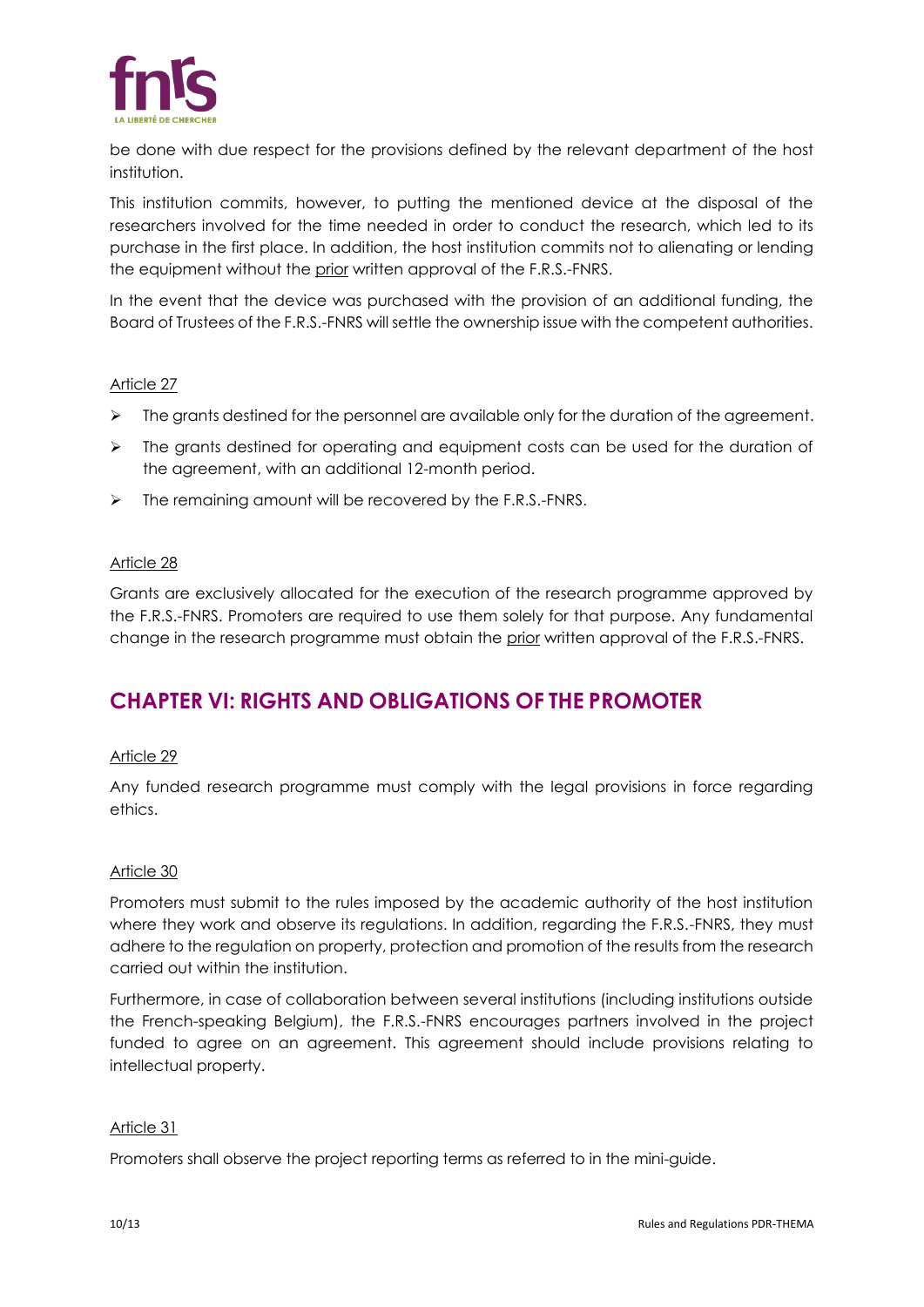

be done with due respect for the provisions defined by the relevant department of the host institution.

This institution commits, however, to putting the mentioned device at the disposal of the researchers involved for the time needed in order to conduct the research, which led to its purchase in the first place. In addition, the host institution commits not to alienating or lending the equipment without the prior written approval of the F.R.S.-FNRS.

In the event that the device was purchased with the provision of an additional funding, the Board of Trustees of the F.R.S.-FNRS will settle the ownership issue with the competent authorities.

## Article 27

- $\triangleright$  The grants destined for the personnel are available only for the duration of the agreement.
- ➢ The grants destined for operating and equipment costs can be used for the duration of the agreement, with an additional 12-month period.
- ➢ The remaining amount will be recovered by the F.R.S.-FNRS.

## Article 28

Grants are exclusively allocated for the execution of the research programme approved by the F.R.S.-FNRS. Promoters are required to use them solely for that purpose. Any fundamental change in the research programme must obtain the prior written approval of the F.R.S.-FNRS.

# **CHAPTER VI: RIGHTS AND OBLIGATIONS OF THE PROMOTER**

#### Article 29

Any funded research programme must comply with the legal provisions in force regarding ethics.

#### Article 30

Promoters must submit to the rules imposed by the academic authority of the host institution where they work and observe its regulations. In addition, regarding the F.R.S.-FNRS, they must adhere to the regulation on property, protection and promotion of the results from the research carried out within the institution.

Furthermore, in case of collaboration between several institutions (including institutions outside the French-speaking Belgium), the F.R.S.-FNRS encourages partners involved in the project funded to agree on an agreement. This agreement should include provisions relating to intellectual property.

#### Article 31

Promoters shall observe the project reporting terms as referred to in the mini-guide.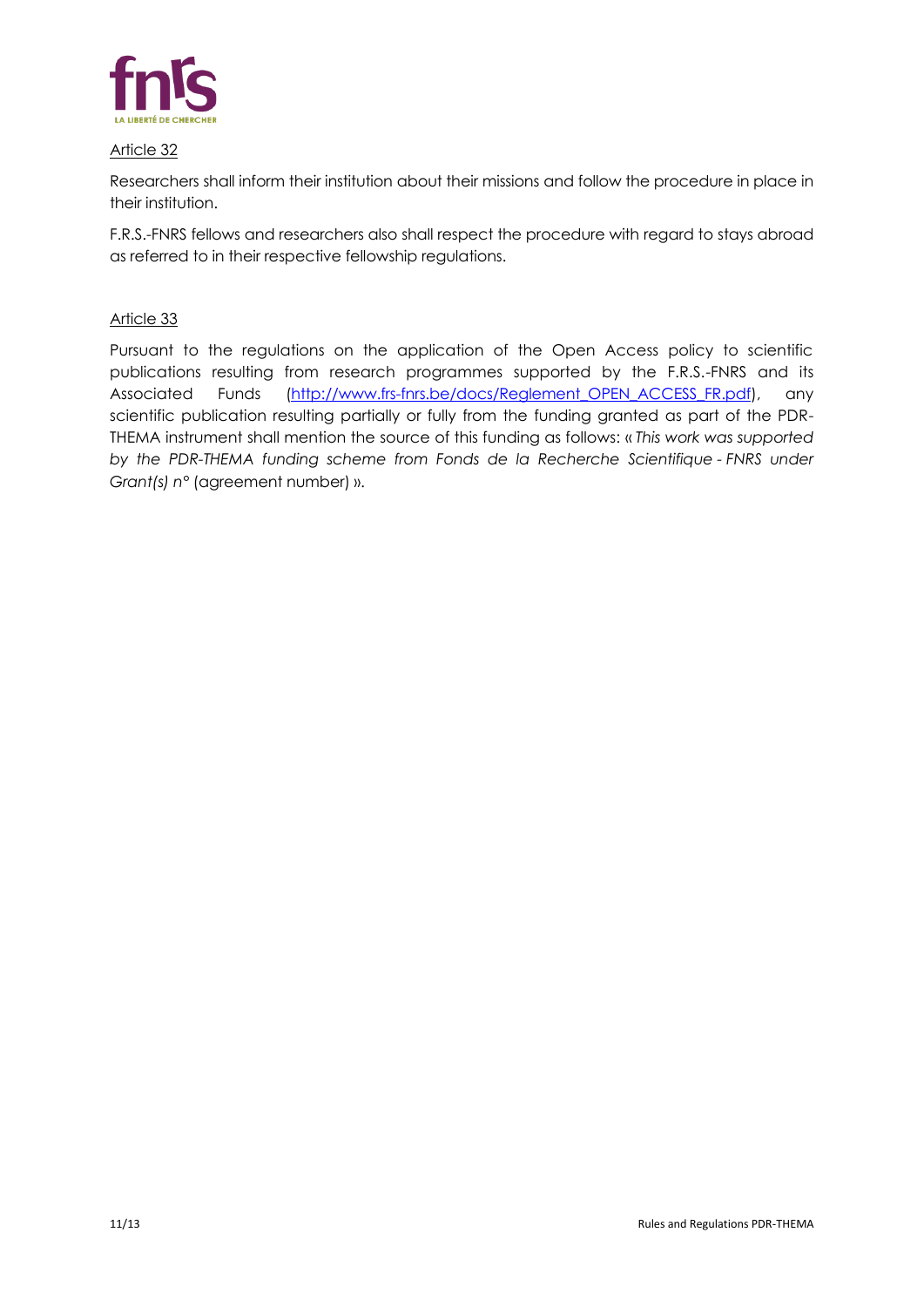

Researchers shall inform their institution about their missions and follow the procedure in place in their institution.

F.R.S.-FNRS fellows and researchers also shall respect the procedure with regard to stays abroad as referred to in their respective fellowship regulations.

## Article 33

<span id="page-10-0"></span>Pursuant to the regulations on the application of the Open Access policy to scientific publications resulting from research programmes supported by the F.R.S.-FNRS and its Associated Funds (http://www.frs-fnrs.be/docs/Reglement OPEN ACCESS FR.pdf), any scientific publication resulting partially or fully from the funding granted as part of the PDR-THEMA instrument shall mention the source of this funding as follows: « *This work was supported by the PDR-THEMA funding scheme from Fonds de la Recherche Scientifique - FNRS under Grant(s) n°* (agreement number) ».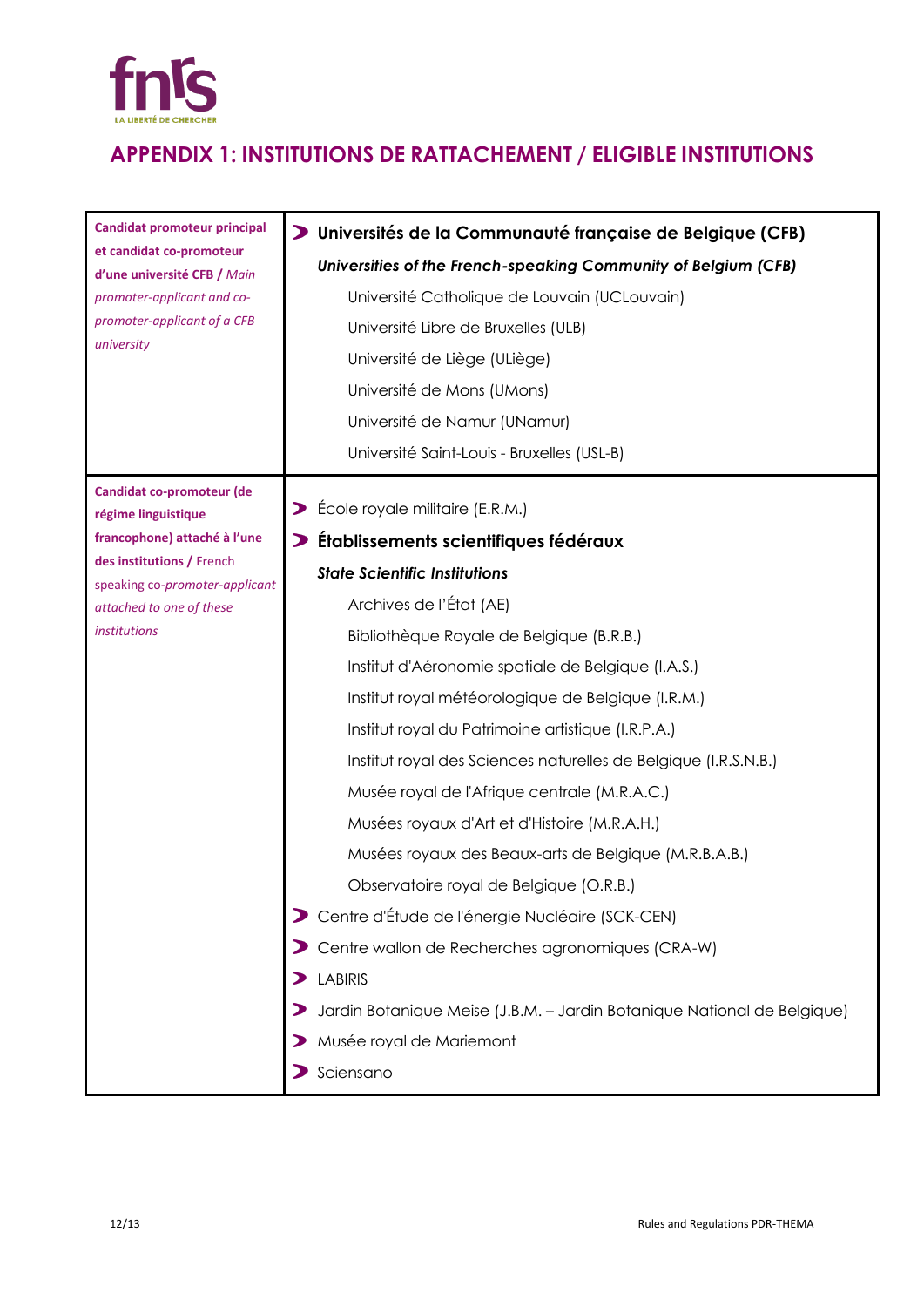

# **APPENDIX 1: INSTITUTIONS DE RATTACHEMENT / ELIGIBLE INSTITUTIONS**

| <b>Candidat promoteur principal</b>                                                                                  | D Universités de la Communauté française de Belgique (CFB)              |
|----------------------------------------------------------------------------------------------------------------------|-------------------------------------------------------------------------|
| et candidat co-promoteur<br>d'une université CFB / Main<br>promoter-applicant and co-<br>promoter-applicant of a CFB | Universities of the French-speaking Community of Belgium (CFB)          |
|                                                                                                                      | Université Catholique de Louvain (UCLouvain)                            |
|                                                                                                                      | Université Libre de Bruxelles (ULB)                                     |
| university                                                                                                           | Université de Liège (ULiège)                                            |
|                                                                                                                      | Université de Mons (UMons)                                              |
|                                                                                                                      | Université de Namur (UNamur)                                            |
|                                                                                                                      | Université Saint-Louis - Bruxelles (USL-B)                              |
| Candidat co-promoteur (de<br>régime linguistique                                                                     | > École royale militaire (E.R.M.)                                       |
| francophone) attaché à l'une                                                                                         | Établissements scientifiques fédéraux                                   |
| des institutions / French<br>speaking co-promoter-applicant<br>attached to one of these<br><i>institutions</i>       | <b>State Scientific Institutions</b>                                    |
|                                                                                                                      | Archives de l'État (AE)                                                 |
|                                                                                                                      | Bibliothèque Royale de Belgique (B.R.B.)                                |
|                                                                                                                      | Institut d'Aéronomie spatiale de Belgique (I.A.S.)                      |
|                                                                                                                      | Institut royal météorologique de Belgique (I.R.M.)                      |
|                                                                                                                      | Institut royal du Patrimoine artistique (I.R.P.A.)                      |
|                                                                                                                      | Institut royal des Sciences naturelles de Belgique (I.R.S.N.B.)         |
|                                                                                                                      | Musée royal de l'Afrique centrale (M.R.A.C.)                            |
|                                                                                                                      | Musées royaux d'Art et d'Histoire (M.R.A.H.)                            |
|                                                                                                                      | Musées royaux des Beaux-arts de Belgique (M.R.B.A.B.)                   |
|                                                                                                                      | Observatoire royal de Belgique (O.R.B.)                                 |
|                                                                                                                      | Centre d'Étude de l'énergie Nucléaire (SCK-CEN)                         |
|                                                                                                                      | Centre wallon de Recherches agronomiques (CRA-W)                        |
|                                                                                                                      | <b>LABIRIS</b><br>⋗                                                     |
|                                                                                                                      | Jardin Botanique Meise (J.B.M. - Jardin Botanique National de Belgique) |
|                                                                                                                      | Musée royal de Mariemont                                                |
|                                                                                                                      | Sciensano                                                               |